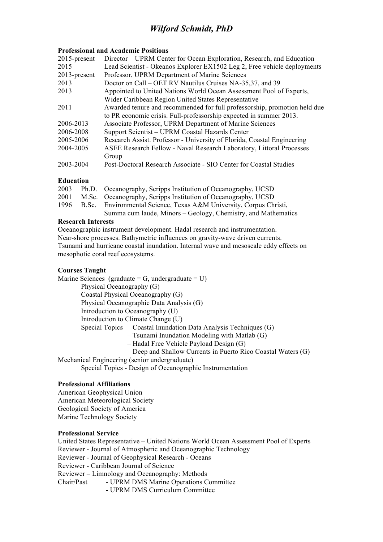### **Professional and Academic Positions**

| $2015$ -present | Director – UPRM Center for Ocean Exploration, Research, and Education     |
|-----------------|---------------------------------------------------------------------------|
| 2015            | Lead Scientist - Okeanos Explorer EX1502 Leg 2, Free vehicle deployments  |
| $2013$ -present | Professor, UPRM Department of Marine Sciences                             |
| 2013            | Doctor on Call – OET RV Nautilus Cruises NA-35,37, and 39                 |
| 2013            | Appointed to United Nations World Ocean Assessment Pool of Experts,       |
|                 | Wider Caribbean Region United States Representative                       |
| 2011            | Awarded tenure and recommended for full professorship, promotion held due |
|                 | to PR economic crisis. Full-professorship expected in summer 2013.        |
| 2006-2013       | Associate Professor, UPRM Department of Marine Sciences                   |
| 2006-2008       | Support Scientist - UPRM Coastal Hazards Center                           |
| 2005-2006       | Research Assist. Professor - University of Florida, Coastal Engineering   |
| 2004-2005       | ASEE Research Fellow - Naval Research Laboratory, Littoral Processes      |
|                 | Group                                                                     |
| 2003-2004       | Post-Doctoral Research Associate - SIO Center for Coastal Studies         |

### **Education**

| 2003 | Ph.D. Oceanography, Scripps Institution of Oceanography, UCSD      |
|------|--------------------------------------------------------------------|
| 2001 | M.Sc. Oceanography, Scripps Institution of Oceanography, UCSD      |
| 1996 | B.Sc. Environmental Science, Texas A&M University, Corpus Christi, |
|      | Summa cum laude, Minors – Geology, Chemistry, and Mathematics      |

### **Research Interests**

Oceanographic instrument development. Hadal research and instrumentation. Near-shore processes. Bathymetric influences on gravity-wave driven currents. Tsunami and hurricane coastal inundation. Internal wave and mesoscale eddy effects on mesophotic coral reef ecosystems.

### **Courses Taught**

Marine Sciences (graduate =  $G$ , undergraduate =  $U$ ) Physical Oceanography (G) Coastal Physical Oceanography (G)

Physical Oceanographic Data Analysis (G)

- Introduction to Oceanography (U)
- Introduction to Climate Change (U)

Special Topics – Coastal Inundation Data Analysis Techniques (G)

- Tsunami Inundation Modeling with Matlab (G)
- Hadal Free Vehicle Payload Design (G)
- Deep and Shallow Currents in Puerto Rico Coastal Waters (G)

Mechanical Engineering (senior undergraduate)

Special Topics - Design of Oceanographic Instrumentation

### **Professional Affiliations**

American Geophysical Union American Meteorological Society Geological Society of America Marine Technology Society

### **Professional Service**

United States Representative – United Nations World Ocean Assessment Pool of Experts Reviewer - Journal of Atmospheric and Oceanographic Technology Reviewer - Journal of Geophysical Research - Oceans Reviewer - Caribbean Journal of Science Reviewer – Limnology and Oceanography: Methods Chair/Past - UPRM DMS Marine Operations Committee - UPRM DMS Curriculum Committee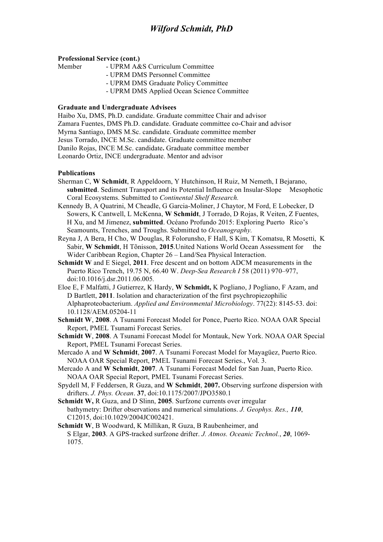### **Professional Service (cont.)**

| Member | - UPRM A&S Curriculum Committee            |
|--------|--------------------------------------------|
|        | - UPRM DMS Personnel Committee             |
|        | - UPRM DMS Graduate Policy Committee       |
|        | - UPRM DMS Applied Ocean Science Committee |

### **Graduate and Undergraduate Advisees**

Haibo Xu, DMS, Ph.D. candidate. Graduate committee Chair and advisor Zamara Fuentes, DMS Ph.D. candidate. Graduate committee co-Chair and advisor Myrna Santiago, DMS M.Sc. candidate. Graduate committee member Jesus Torrado, INCE M.Sc. candidate. Graduate committee member Danilo Rojas, INCE M.Sc. candidate**.** Graduate committee member Leonardo Ortiz, INCE undergraduate. Mentor and advisor

### **Publications**

- Sherman C, **W Schmidt**, R Appeldoorn, Y Hutchinson, H Ruiz, M Nemeth, I Bejarano, **submitted**. Sediment Transport and its Potential Influence on Insular-Slope Mesophotic Coral Ecosystems. Submitted to *Continental Shelf Research.*
- Kennedy B, A Quatrini, M Cheadle, G Garcia-Moliner, J Chaytor, M Ford, E Lobecker, D Sowers, K Cantwell, L McKenna, **W Schmidt**, J Torrado, D Rojas, R Veiten, Z Fuentes, H Xu, and M Jimenez, **submitted**. Océano Profundo 2015: Exploring Puerto Rico's Seamounts, Trenches, and Troughs. Submitted to *Oceanography.*
- Reyna J, A Bera, H Cho, W Douglas, R Folorunsho, F Hall, S Kim, T Komatsu, R Mosetti, K Sabir, **W Schmidt**, H Tõnisson, **2015**.United Nations World Ocean Assessment for the Wider Caribbean Region, Chapter 26 – Land/Sea Physical Interaction.
- **Schmidt W** and E Siegel, **2011**. Free descent and on bottom ADCM measurements in the Puerto Rico Trench, 19.75 N, 66.40 W. *Deep-Sea Research I* 58 (2011) 970–977, doi:10.1016/j.dsr.2011.06.005*.*
- Eloe E, F Malfatti, J Gutierrez, K Hardy, **W Schmidt,** K Pogliano, J Pogliano, F Azam, and D Bartlett, **2011**. Isolation and characterization of the first psychropiezophilic Alphaproteobacterium. *Applied and Environmental Microbiology*. 77(22): 8145-53. doi: 10.1128/AEM.05204-11
- **Schmidt W**, **2008**. A Tsunami Forecast Model for Ponce, Puerto Rico. NOAA OAR Special Report, PMEL Tsunami Forecast Series.
- **Schmidt W**, **2008**. A Tsunami Forecast Model for Montauk, New York. NOAA OAR Special Report, PMEL Tsunami Forecast Series.
- Mercado A and **W Schmidt**, **2007**. A Tsunami Forecast Model for Mayagüez, Puerto Rico. NOAA OAR Special Report, PMEL Tsunami Forecast Series., Vol. 3.
- Mercado A and **W Schmidt**, **2007**. A Tsunami Forecast Model for San Juan, Puerto Rico. NOAA OAR Special Report, PMEL Tsunami Forecast Series.
- Spydell M, F Feddersen, R Guza, and **W Schmidt**, **2007.** Observing surfzone dispersion with drifters. *J. Phys. Ocean*. **37**, doi:10.1175/2007/JPO3580.1
- **Schmidt W,** R Guza, and D Slinn, **2005**. Surfzone currents over irregular bathymetry: Drifter observations and numerical simulations. *J. Geophys. Res., 110*, C12015, doi:10.1029/2004JC002421.
- **Schmidt W**, B Woodward, K Millikan, R Guza, B Raubenheimer, and S Elgar, **2003**. A GPS-tracked surfzone drifter. *J. Atmos. Oceanic Technol.*, *20*, 1069- 1075.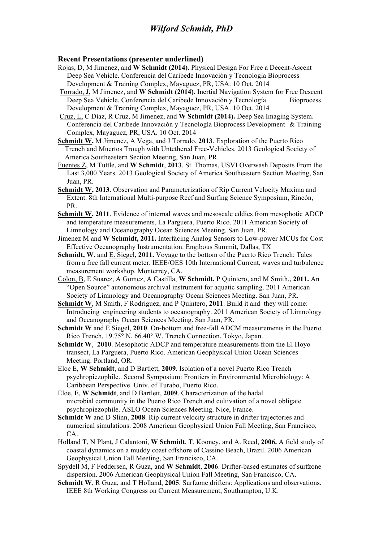### **Recent Presentations (presenter underlined)**

- Rojas, D, M Jimenez, and **W Schmidt (2014).** Physical Design For Free a Decent-Ascent Deep Sea Vehicle. Conferencia del Caribede Innovación y Tecnología Bioprocess Development & Training Complex, Mayaguez, PR, USA. 10 Oct. 2014
- Torrado, J, M Jimenez, and **W Schmidt (2014).** Inertial Navigation System for Free Descent Deep Sea Vehicle. Conferencia del Caribede Innovación y Tecnología Bioprocess Development & Training Complex, Mayaguez, PR, USA. 10 Oct. 2014
- Cruz, L, C Díaz, R Cruz, M Jimenez, and **W Schmidt (2014).** Deep Sea Imaging System. Conferencia del Caribede Innovación y Tecnología Bioprocess Development & Training Complex, Mayaguez, PR, USA. 10 Oct. 2014
- **Schmidt W,** M Jimenez, A Vega, and J Torrado, **2013**. Exploration of the Puerto Rico Trench and Muertos Trough with Untethered Free-Vehicles. 2013 Geological Society of America Southeastern Section Meeting, San Juan, PR.
- Fuentes Z, M Tuttle, and **W Schmidt**, **2013**. St. Thomas, USVI Overwash Deposits From the Last 3,000 Years. 2013 Geological Society of America Southeastern Section Meeting, San Juan, PR.
- **Schmidt W, 2013**. Observation and Parameterization of Rip Current Velocity Maxima and Extent. 8th International Multi-purpose Reef and Surfing Science Symposium, Rincón, PR.
- **Schmidt W, 2011**. Evidence of internal waves and mesoscale eddies from mesophotic ADCP and temperature measurements, La Parguera, Puerto Rico. 2011 American Society of Limnology and Oceanography Ocean Sciences Meeting. San Juan, PR.
- Jimenez M and **W Schmidt, 2011.** Interfacing Analog Sensors to Low-power MCUs for Cost Effective Oceanography Instrumentation. Engibous Summit, Dallas, TX
- **Schmidt, W.** and E. Siegel, **2011.** Voyage to the bottom of the Puerto Rico Trench: Tales from a free fall current meter. IEEE/OES 10th International Current, waves and turbulence measurement workshop. Monterrey, CA.
- Colon, B, E Suarez, A Gomez, A Castilla, **W Schmidt,** P Quintero, and M Smith., **2011.** An "Open Source" autonomous archival instrument for aquatic sampling. 2011 American Society of Limnology and Oceanography Ocean Sciences Meeting. San Juan, PR.
- **Schmidt W**, M Smith, F Rodriguez, and P Quintero, **2011**. Build it and they will come: Introducing engineering students to oceanography. 2011 American Society of Limnology and Oceanography Ocean Sciences Meeting. San Juan, PR.
- **Schmidt W** and E Siegel, **2010**. On-bottom and free-fall ADCM measurements in the Puerto Rico Trench, 19.75° N, 66.40° W. Trench Connection, Tokyo, Japan.
- **Schmidt W**, **2010**. Mesophotic ADCP and temperature measurements from the El Hoyo transect, La Parguera, Puerto Rico. American Geophysical Union Ocean Sciences Meeting. Portland, OR.
- Eloe E, **W Schmidt**, and D Bartlett, **2009**. Isolation of a novel Puerto Rico Trench psychropiezophile.. Second Symposium: Frontiers in Environmental Microbiology: A Caribbean Perspective. Univ. of Turabo, Puerto Rico.
- Eloe, E, **W Schmidt**, and D Bartlett, **2009**. Characterization of the hadal microbial community in the Puerto Rico Trench and cultivation of a novel obligate psychropiezophile. ASLO Ocean Sciences Meeting. Nice, France.
- **Schmidt W** and D Slinn, **2008**. Rip current velocity structure in drifter trajectories and numerical simulations. 2008 American Geophysical Union Fall Meeting, San Francisco, CA.
- Holland T, N Plant, J Calantoni, **W Schmidt**, T. Kooney, and A. Reed, **2006.** A field study of coastal dynamics on a muddy coast offshore of Cassino Beach, Brazil. 2006 American Geophysical Union Fall Meeting, San Francisco, CA.
- Spydell M, F Feddersen, R Guza, and **W Schmidt**, **2006**. Drifter-based estimates of surfzone dispersion. 2006 American Geophysical Union Fall Meeting, San Francisco, CA.
- **Schmidt W**, R Guza, and T Holland, **2005**. Surfzone drifters: Applications and observations. IEEE 8th Working Congress on Current Measurement, Southampton, U.K.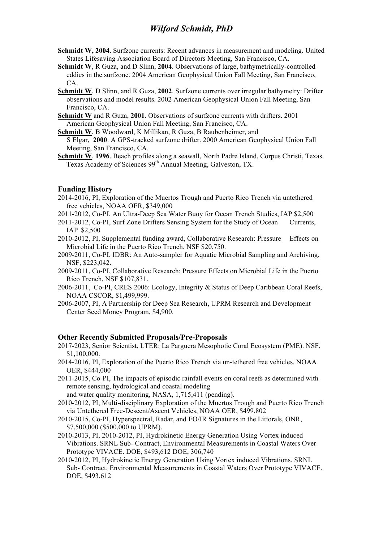- **Schmidt W, 2004**. Surfzone currents: Recent advances in measurement and modeling. United States Lifesaving Association Board of Directors Meeting, San Francisco, CA.
- **Schmidt W**, R Guza, and D Slinn, **2004**. Observations of large, bathymetrically-controlled eddies in the surfzone. 2004 American Geophysical Union Fall Meeting, San Francisco, CA.
- **Schmidt W**, D Slinn, and R Guza, **2002**. Surfzone currents over irregular bathymetry: Drifter observations and model results. 2002 American Geophysical Union Fall Meeting, San Francisco, CA.
- **Schmidt W** and R Guza, **2001**. Observations of surfzone currents with drifters. 2001 American Geophysical Union Fall Meeting, San Francisco, CA.
- **Schmidt W**, B Woodward, K Millikan, R Guza, B Raubenheimer, and

 S Elgar, **2000**. A GPS-tracked surfzone drifter. 2000 American Geophysical Union Fall Meeting, San Francisco, CA.

**Schmidt W**, **1996**. Beach profiles along a seawall, North Padre Island, Corpus Christi, Texas. Texas Academy of Sciences 99<sup>th</sup> Annual Meeting, Galveston, TX.

### **Funding History**

- 2014-2016, PI, Exploration of the Muertos Trough and Puerto Rico Trench via untethered free vehicles, NOAA OER, \$349,000
- 2011-2012, Co-PI, An Ultra-Deep Sea Water Buoy for Ocean Trench Studies, IAP \$2,500
- 2011-2012, Co-PI, Surf Zone Drifters Sensing System for the Study of Ocean Currents, IAP \$2,500
- 2010-2012, PI, Supplemental funding award, Collaborative Research: Pressure Effects on Microbial Life in the Puerto Rico Trench, NSF \$20,750.
- 2009-2011, Co-PI, IDBR: An Auto-sampler for Aquatic Microbial Sampling and Archiving, NSF, \$223,042.
- 2009-2011, Co-PI, Collaborative Research: Pressure Effects on Microbial Life in the Puerto Rico Trench, NSF \$107,831.
- 2006-2011, Co-PI, CRES 2006: Ecology, Integrity & Status of Deep Caribbean Coral Reefs, NOAA CSCOR, \$1,499,999.
- 2006-2007, PI, A Partnership for Deep Sea Research, UPRM Research and Development Center Seed Money Program, \$4,900.

### **Other Recently Submitted Proposals/Pre-Proposals**

- 2017-2023, Senior Scientist, LTER: La Parguera Mesophotic Coral Ecosystem (PME). NSF, \$1,100,000.
- 2014-2016, PI, Exploration of the Puerto Rico Trench via un-tethered free vehicles. NOAA OER, \$444,000
- 2011-2015, Co-PI, The impacts of episodic rainfall events on coral reefs as determined with remote sensing, hydrological and coastal modeling and water quality monitoring, NASA, 1,715,411 (pending).
- 2010-2012, PI, Multi-disciplinary Exploration of the Muertos Trough and Puerto Rico Trench via Untethered Free-Descent/Ascent Vehicles, NOAA OER, \$499,802
- 2010-2015, Co-PI, Hyperspectral, Radar, and EO/IR Signatures in the Littorals, ONR, \$7,500,000 (\$500,000 to UPRM).
- 2010-2013, PI, 2010-2012, PI, Hydrokinetic Energy Generation Using Vortex induced Vibrations. SRNL Sub- Contract, Environmental Measurements in Coastal Waters Over Prototype VIVACE. DOE, \$493,612 DOE, 306,740
- 2010-2012, PI, Hydrokinetic Energy Generation Using Vortex induced Vibrations. SRNL Sub- Contract, Environmental Measurements in Coastal Waters Over Prototype VIVACE. DOE, \$493,612